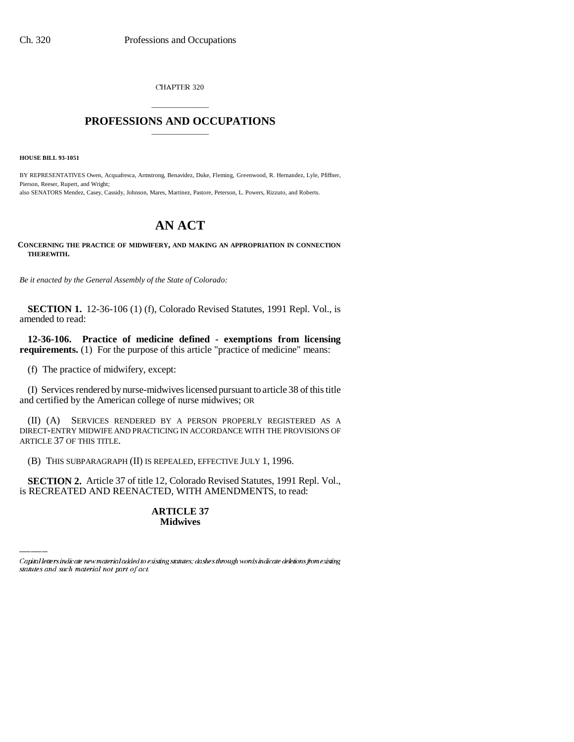CHAPTER 320

# \_\_\_\_\_\_\_\_\_\_\_\_\_\_\_ **PROFESSIONS AND OCCUPATIONS** \_\_\_\_\_\_\_\_\_\_\_\_\_\_\_

**HOUSE BILL 93-1051**

BY REPRESENTATIVES Owen, Acquafresca, Armstrong, Benavidez, Duke, Fleming, Greenwood, R. Hernandez, Lyle, Pfiffner, Pierson, Reeser, Rupert, and Wright; also SENATORS Mendez, Casey, Cassidy, Johnson, Mares, Martinez, Pastore, Peterson, L. Powers, Rizzuto, and Roberts.

# **AN ACT**

**CONCERNING THE PRACTICE OF MIDWIFERY, AND MAKING AN APPROPRIATION IN CONNECTION THEREWITH.**

*Be it enacted by the General Assembly of the State of Colorado:*

**SECTION 1.** 12-36-106 (1) (f), Colorado Revised Statutes, 1991 Repl. Vol., is amended to read:

**12-36-106. Practice of medicine defined - exemptions from licensing requirements.** (1) For the purpose of this article "practice of medicine" means:

(f) The practice of midwifery, except:

(I) Services rendered by nurse-midwives licensed pursuant to article 38 of this title and certified by the American college of nurse midwives; OR

(II) (A) SERVICES RENDERED BY A PERSON PROPERLY REGISTERED AS A DIRECT-ENTRY MIDWIFE AND PRACTICING IN ACCORDANCE WITH THE PROVISIONS OF ARTICLE 37 OF THIS TITLE.

(B) THIS SUBPARAGRAPH (II) IS REPEALED, EFFECTIVE JULY 1, 1996.

 **SECTION 2.** Article 37 of title 12, Colorado Revised Statutes, 1991 Repl. Vol., is RECREATED AND REENACTED, WITH AMENDMENTS, to read:

## **ARTICLE 37 Midwives**

Capital letters indicate new material added to existing statutes; dashes through words indicate deletions from existing statutes and such material not part of act.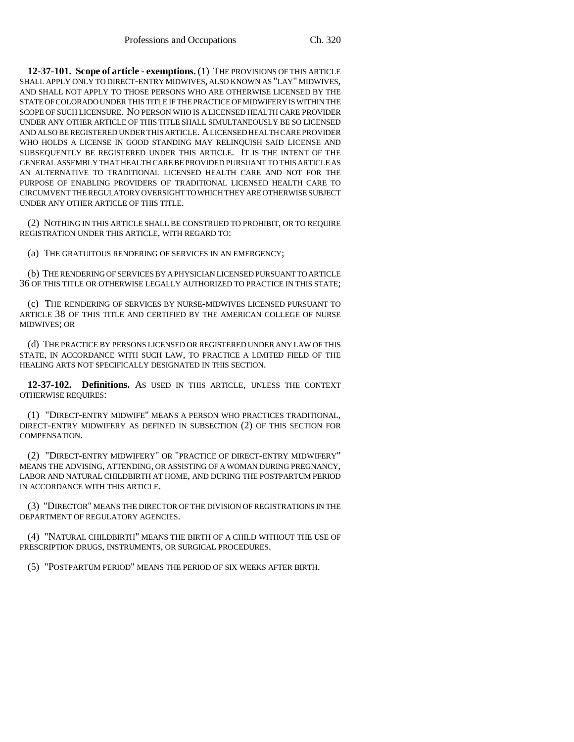**12-37-101. Scope of article - exemptions.** (1) THE PROVISIONS OF THIS ARTICLE SHALL APPLY ONLY TO DIRECT-ENTRY MIDWIVES, ALSO KNOWN AS "LAY" MIDWIVES, AND SHALL NOT APPLY TO THOSE PERSONS WHO ARE OTHERWISE LICENSED BY THE STATE OF COLORADO UNDER THIS TITLE IF THE PRACTICE OF MIDWIFERY IS WITHIN THE SCOPE OF SUCH LICENSURE. NO PERSON WHO IS A LICENSED HEALTH CARE PROVIDER UNDER ANY OTHER ARTICLE OF THIS TITLE SHALL SIMULTANEOUSLY BE SO LICENSED AND ALSO BE REGISTERED UNDER THIS ARTICLE. A LICENSED HEALTH CARE PROVIDER WHO HOLDS A LICENSE IN GOOD STANDING MAY RELINQUISH SAID LICENSE AND SUBSEQUENTLY BE REGISTERED UNDER THIS ARTICLE. IT IS THE INTENT OF THE GENERAL ASSEMBLY THAT HEALTH CARE BE PROVIDED PURSUANT TO THIS ARTICLE AS AN ALTERNATIVE TO TRADITIONAL LICENSED HEALTH CARE AND NOT FOR THE PURPOSE OF ENABLING PROVIDERS OF TRADITIONAL LICENSED HEALTH CARE TO CIRCUMVENT THE REGULATORY OVERSIGHT TO WHICH THEY ARE OTHERWISE SUBJECT UNDER ANY OTHER ARTICLE OF THIS TITLE.

(2) NOTHING IN THIS ARTICLE SHALL BE CONSTRUED TO PROHIBIT, OR TO REQUIRE REGISTRATION UNDER THIS ARTICLE, WITH REGARD TO:

(a) THE GRATUITOUS RENDERING OF SERVICES IN AN EMERGENCY;

(b) THE RENDERING OF SERVICES BY A PHYSICIAN LICENSED PURSUANT TO ARTICLE 36 OF THIS TITLE OR OTHERWISE LEGALLY AUTHORIZED TO PRACTICE IN THIS STATE;

(c) THE RENDERING OF SERVICES BY NURSE-MIDWIVES LICENSED PURSUANT TO ARTICLE 38 OF THIS TITLE AND CERTIFIED BY THE AMERICAN COLLEGE OF NURSE MIDWIVES; OR

(d) THE PRACTICE BY PERSONS LICENSED OR REGISTERED UNDER ANY LAW OF THIS STATE, IN ACCORDANCE WITH SUCH LAW, TO PRACTICE A LIMITED FIELD OF THE HEALING ARTS NOT SPECIFICALLY DESIGNATED IN THIS SECTION.

**12-37-102. Definitions.** AS USED IN THIS ARTICLE, UNLESS THE CONTEXT OTHERWISE REQUIRES:

(1) "DIRECT-ENTRY MIDWIFE" MEANS A PERSON WHO PRACTICES TRADITIONAL, DIRECT-ENTRY MIDWIFERY AS DEFINED IN SUBSECTION (2) OF THIS SECTION FOR COMPENSATION.

(2) "DIRECT-ENTRY MIDWIFERY" OR "PRACTICE OF DIRECT-ENTRY MIDWIFERY" MEANS THE ADVISING, ATTENDING, OR ASSISTING OF A WOMAN DURING PREGNANCY, LABOR AND NATURAL CHILDBIRTH AT HOME, AND DURING THE POSTPARTUM PERIOD IN ACCORDANCE WITH THIS ARTICLE.

(3) "DIRECTOR" MEANS THE DIRECTOR OF THE DIVISION OF REGISTRATIONS IN THE DEPARTMENT OF REGULATORY AGENCIES.

(4) "NATURAL CHILDBIRTH" MEANS THE BIRTH OF A CHILD WITHOUT THE USE OF PRESCRIPTION DRUGS, INSTRUMENTS, OR SURGICAL PROCEDURES.

(5) "POSTPARTUM PERIOD" MEANS THE PERIOD OF SIX WEEKS AFTER BIRTH.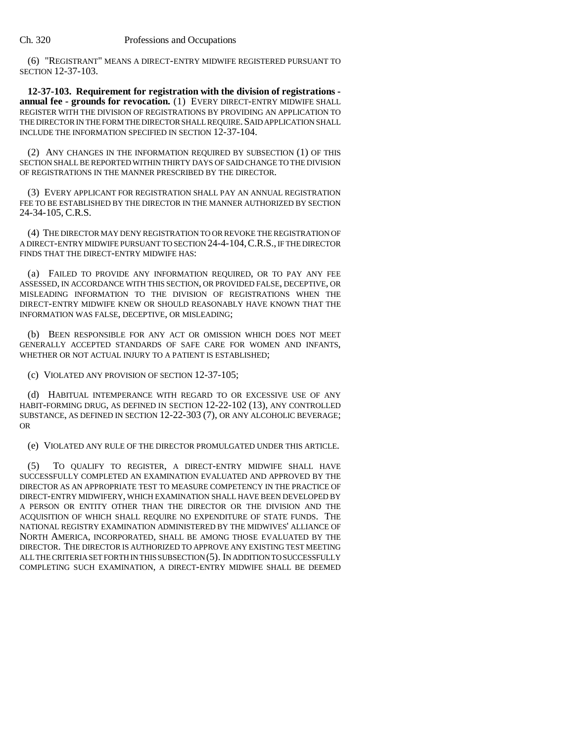#### Ch. 320 Professions and Occupations

(6) "REGISTRANT" MEANS A DIRECT-ENTRY MIDWIFE REGISTERED PURSUANT TO SECTION 12-37-103.

**12-37-103. Requirement for registration with the division of registrations annual fee - grounds for revocation.** (1) EVERY DIRECT-ENTRY MIDWIFE SHALL REGISTER WITH THE DIVISION OF REGISTRATIONS BY PROVIDING AN APPLICATION TO THE DIRECTOR IN THE FORM THE DIRECTOR SHALL REQUIRE. SAID APPLICATION SHALL INCLUDE THE INFORMATION SPECIFIED IN SECTION 12-37-104.

(2) ANY CHANGES IN THE INFORMATION REQUIRED BY SUBSECTION (1) OF THIS SECTION SHALL BE REPORTED WITHIN THIRTY DAYS OF SAID CHANGE TO THE DIVISION OF REGISTRATIONS IN THE MANNER PRESCRIBED BY THE DIRECTOR.

(3) EVERY APPLICANT FOR REGISTRATION SHALL PAY AN ANNUAL REGISTRATION FEE TO BE ESTABLISHED BY THE DIRECTOR IN THE MANNER AUTHORIZED BY SECTION 24-34-105, C.R.S.

(4) THE DIRECTOR MAY DENY REGISTRATION TO OR REVOKE THE REGISTRATION OF A DIRECT-ENTRY MIDWIFE PURSUANT TO SECTION 24-4-104,C.R.S., IF THE DIRECTOR FINDS THAT THE DIRECT-ENTRY MIDWIFE HAS:

(a) FAILED TO PROVIDE ANY INFORMATION REQUIRED, OR TO PAY ANY FEE ASSESSED, IN ACCORDANCE WITH THIS SECTION, OR PROVIDED FALSE, DECEPTIVE, OR MISLEADING INFORMATION TO THE DIVISION OF REGISTRATIONS WHEN THE DIRECT-ENTRY MIDWIFE KNEW OR SHOULD REASONABLY HAVE KNOWN THAT THE INFORMATION WAS FALSE, DECEPTIVE, OR MISLEADING;

(b) BEEN RESPONSIBLE FOR ANY ACT OR OMISSION WHICH DOES NOT MEET GENERALLY ACCEPTED STANDARDS OF SAFE CARE FOR WOMEN AND INFANTS, WHETHER OR NOT ACTUAL INJURY TO A PATIENT IS ESTABLISHED;

(c) VIOLATED ANY PROVISION OF SECTION 12-37-105;

(d) HABITUAL INTEMPERANCE WITH REGARD TO OR EXCESSIVE USE OF ANY HABIT-FORMING DRUG, AS DEFINED IN SECTION 12-22-102 (13), ANY CONTROLLED SUBSTANCE, AS DEFINED IN SECTION 12-22-303 (7), OR ANY ALCOHOLIC BEVERAGE; OR

(e) VIOLATED ANY RULE OF THE DIRECTOR PROMULGATED UNDER THIS ARTICLE.

(5) TO QUALIFY TO REGISTER, A DIRECT-ENTRY MIDWIFE SHALL HAVE SUCCESSFULLY COMPLETED AN EXAMINATION EVALUATED AND APPROVED BY THE DIRECTOR AS AN APPROPRIATE TEST TO MEASURE COMPETENCY IN THE PRACTICE OF DIRECT-ENTRY MIDWIFERY, WHICH EXAMINATION SHALL HAVE BEEN DEVELOPED BY A PERSON OR ENTITY OTHER THAN THE DIRECTOR OR THE DIVISION AND THE ACQUISITION OF WHICH SHALL REQUIRE NO EXPENDITURE OF STATE FUNDS. THE NATIONAL REGISTRY EXAMINATION ADMINISTERED BY THE MIDWIVES' ALLIANCE OF NORTH AMERICA, INCORPORATED, SHALL BE AMONG THOSE EVALUATED BY THE DIRECTOR. THE DIRECTOR IS AUTHORIZED TO APPROVE ANY EXISTING TEST MEETING ALL THE CRITERIA SET FORTH IN THIS SUBSECTION (5). IN ADDITION TO SUCCESSFULLY COMPLETING SUCH EXAMINATION, A DIRECT-ENTRY MIDWIFE SHALL BE DEEMED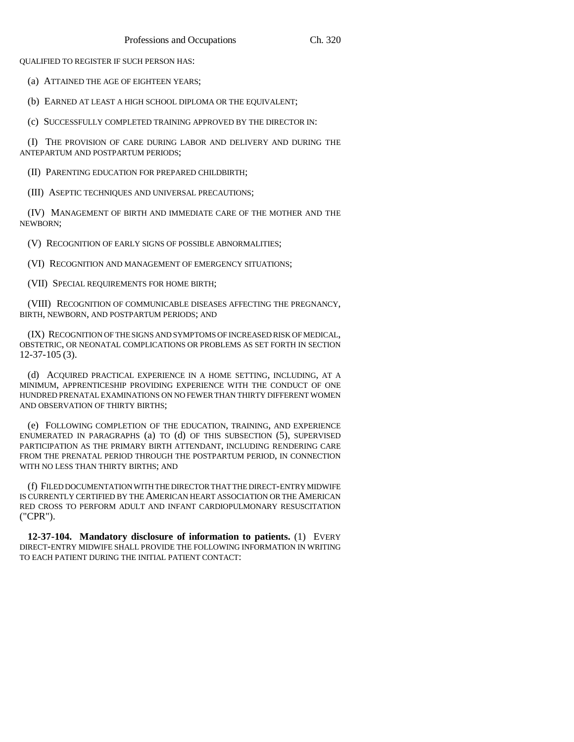QUALIFIED TO REGISTER IF SUCH PERSON HAS:

(a) ATTAINED THE AGE OF EIGHTEEN YEARS;

(b) EARNED AT LEAST A HIGH SCHOOL DIPLOMA OR THE EQUIVALENT;

(c) SUCCESSFULLY COMPLETED TRAINING APPROVED BY THE DIRECTOR IN:

(I) THE PROVISION OF CARE DURING LABOR AND DELIVERY AND DURING THE ANTEPARTUM AND POSTPARTUM PERIODS;

(II) PARENTING EDUCATION FOR PREPARED CHILDBIRTH;

(III) ASEPTIC TECHNIQUES AND UNIVERSAL PRECAUTIONS;

(IV) MANAGEMENT OF BIRTH AND IMMEDIATE CARE OF THE MOTHER AND THE NEWBORN;

(V) RECOGNITION OF EARLY SIGNS OF POSSIBLE ABNORMALITIES;

(VI) RECOGNITION AND MANAGEMENT OF EMERGENCY SITUATIONS;

(VII) SPECIAL REQUIREMENTS FOR HOME BIRTH;

(VIII) RECOGNITION OF COMMUNICABLE DISEASES AFFECTING THE PREGNANCY, BIRTH, NEWBORN, AND POSTPARTUM PERIODS; AND

(IX) RECOGNITION OF THE SIGNS AND SYMPTOMS OF INCREASED RISK OF MEDICAL, OBSTETRIC, OR NEONATAL COMPLICATIONS OR PROBLEMS AS SET FORTH IN SECTION 12-37-105 (3).

(d) ACQUIRED PRACTICAL EXPERIENCE IN A HOME SETTING, INCLUDING, AT A MINIMUM, APPRENTICESHIP PROVIDING EXPERIENCE WITH THE CONDUCT OF ONE HUNDRED PRENATAL EXAMINATIONS ON NO FEWER THAN THIRTY DIFFERENT WOMEN AND OBSERVATION OF THIRTY BIRTHS;

(e) FOLLOWING COMPLETION OF THE EDUCATION, TRAINING, AND EXPERIENCE ENUMERATED IN PARAGRAPHS (a) TO (d) OF THIS SUBSECTION (5), SUPERVISED PARTICIPATION AS THE PRIMARY BIRTH ATTENDANT, INCLUDING RENDERING CARE FROM THE PRENATAL PERIOD THROUGH THE POSTPARTUM PERIOD, IN CONNECTION WITH NO LESS THAN THIRTY BIRTHS; AND

(f) FILED DOCUMENTATION WITH THE DIRECTOR THAT THE DIRECT-ENTRY MIDWIFE IS CURRENTLY CERTIFIED BY THE AMERICAN HEART ASSOCIATION OR THE AMERICAN RED CROSS TO PERFORM ADULT AND INFANT CARDIOPULMONARY RESUSCITATION ("CPR").

**12-37-104. Mandatory disclosure of information to patients.** (1) EVERY DIRECT-ENTRY MIDWIFE SHALL PROVIDE THE FOLLOWING INFORMATION IN WRITING TO EACH PATIENT DURING THE INITIAL PATIENT CONTACT: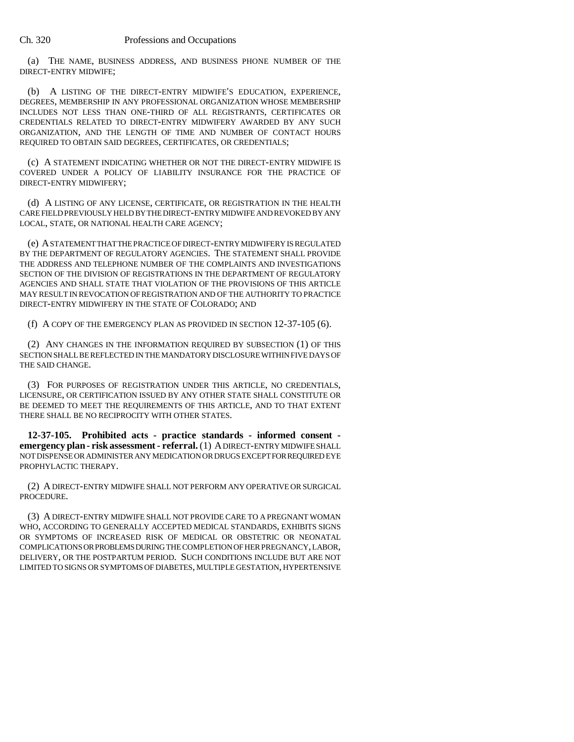(a) THE NAME, BUSINESS ADDRESS, AND BUSINESS PHONE NUMBER OF THE DIRECT-ENTRY MIDWIFE;

(b) A LISTING OF THE DIRECT-ENTRY MIDWIFE'S EDUCATION, EXPERIENCE, DEGREES, MEMBERSHIP IN ANY PROFESSIONAL ORGANIZATION WHOSE MEMBERSHIP INCLUDES NOT LESS THAN ONE-THIRD OF ALL REGISTRANTS, CERTIFICATES OR CREDENTIALS RELATED TO DIRECT-ENTRY MIDWIFERY AWARDED BY ANY SUCH ORGANIZATION, AND THE LENGTH OF TIME AND NUMBER OF CONTACT HOURS REQUIRED TO OBTAIN SAID DEGREES, CERTIFICATES, OR CREDENTIALS;

(c) A STATEMENT INDICATING WHETHER OR NOT THE DIRECT-ENTRY MIDWIFE IS COVERED UNDER A POLICY OF LIABILITY INSURANCE FOR THE PRACTICE OF DIRECT-ENTRY MIDWIFERY;

(d) A LISTING OF ANY LICENSE, CERTIFICATE, OR REGISTRATION IN THE HEALTH CARE FIELD PREVIOUSLY HELD BY THE DIRECT-ENTRY MIDWIFE AND REVOKED BY ANY LOCAL, STATE, OR NATIONAL HEALTH CARE AGENCY;

(e) A STATEMENT THAT THE PRACTICE OF DIRECT-ENTRY MIDWIFERY IS REGULATED BY THE DEPARTMENT OF REGULATORY AGENCIES. THE STATEMENT SHALL PROVIDE THE ADDRESS AND TELEPHONE NUMBER OF THE COMPLAINTS AND INVESTIGATIONS SECTION OF THE DIVISION OF REGISTRATIONS IN THE DEPARTMENT OF REGULATORY AGENCIES AND SHALL STATE THAT VIOLATION OF THE PROVISIONS OF THIS ARTICLE MAY RESULT IN REVOCATION OF REGISTRATION AND OF THE AUTHORITY TO PRACTICE DIRECT-ENTRY MIDWIFERY IN THE STATE OF COLORADO; AND

(f) A COPY OF THE EMERGENCY PLAN AS PROVIDED IN SECTION 12-37-105 (6).

(2) ANY CHANGES IN THE INFORMATION REQUIRED BY SUBSECTION (1) OF THIS SECTION SHALL BE REFLECTED IN THE MANDATORY DISCLOSURE WITHIN FIVE DAYS OF THE SAID CHANGE.

(3) FOR PURPOSES OF REGISTRATION UNDER THIS ARTICLE, NO CREDENTIALS, LICENSURE, OR CERTIFICATION ISSUED BY ANY OTHER STATE SHALL CONSTITUTE OR BE DEEMED TO MEET THE REQUIREMENTS OF THIS ARTICLE, AND TO THAT EXTENT THERE SHALL BE NO RECIPROCITY WITH OTHER STATES.

**12-37-105. Prohibited acts - practice standards - informed consent emergency plan - risk assessment - referral.** (1) A DIRECT-ENTRY MIDWIFE SHALL NOT DISPENSE OR ADMINISTER ANY MEDICATION OR DRUGS EXCEPT FOR REQUIRED EYE PROPHYLACTIC THERAPY.

(2) A DIRECT-ENTRY MIDWIFE SHALL NOT PERFORM ANY OPERATIVE OR SURGICAL PROCEDURE.

(3) A DIRECT-ENTRY MIDWIFE SHALL NOT PROVIDE CARE TO A PREGNANT WOMAN WHO, ACCORDING TO GENERALLY ACCEPTED MEDICAL STANDARDS, EXHIBITS SIGNS OR SYMPTOMS OF INCREASED RISK OF MEDICAL OR OBSTETRIC OR NEONATAL COMPLICATIONS OR PROBLEMS DURING THE COMPLETION OF HER PREGNANCY, LABOR, DELIVERY, OR THE POSTPARTUM PERIOD. SUCH CONDITIONS INCLUDE BUT ARE NOT LIMITED TO SIGNS OR SYMPTOMS OF DIABETES, MULTIPLE GESTATION, HYPERTENSIVE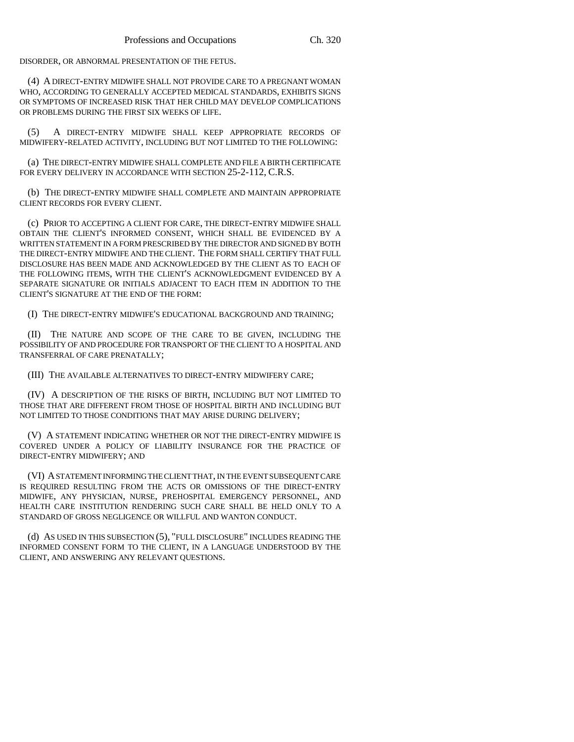DISORDER, OR ABNORMAL PRESENTATION OF THE FETUS.

(4) A DIRECT-ENTRY MIDWIFE SHALL NOT PROVIDE CARE TO A PREGNANT WOMAN WHO, ACCORDING TO GENERALLY ACCEPTED MEDICAL STANDARDS, EXHIBITS SIGNS OR SYMPTOMS OF INCREASED RISK THAT HER CHILD MAY DEVELOP COMPLICATIONS OR PROBLEMS DURING THE FIRST SIX WEEKS OF LIFE.

(5) A DIRECT-ENTRY MIDWIFE SHALL KEEP APPROPRIATE RECORDS OF MIDWIFERY-RELATED ACTIVITY, INCLUDING BUT NOT LIMITED TO THE FOLLOWING:

(a) THE DIRECT-ENTRY MIDWIFE SHALL COMPLETE AND FILE A BIRTH CERTIFICATE FOR EVERY DELIVERY IN ACCORDANCE WITH SECTION 25-2-112, C.R.S.

(b) THE DIRECT-ENTRY MIDWIFE SHALL COMPLETE AND MAINTAIN APPROPRIATE CLIENT RECORDS FOR EVERY CLIENT.

(c) PRIOR TO ACCEPTING A CLIENT FOR CARE, THE DIRECT-ENTRY MIDWIFE SHALL OBTAIN THE CLIENT'S INFORMED CONSENT, WHICH SHALL BE EVIDENCED BY A WRITTEN STATEMENT IN A FORM PRESCRIBED BY THE DIRECTOR AND SIGNED BY BOTH THE DIRECT-ENTRY MIDWIFE AND THE CLIENT. THE FORM SHALL CERTIFY THAT FULL DISCLOSURE HAS BEEN MADE AND ACKNOWLEDGED BY THE CLIENT AS TO EACH OF THE FOLLOWING ITEMS, WITH THE CLIENT'S ACKNOWLEDGMENT EVIDENCED BY A SEPARATE SIGNATURE OR INITIALS ADJACENT TO EACH ITEM IN ADDITION TO THE CLIENT'S SIGNATURE AT THE END OF THE FORM:

(I) THE DIRECT-ENTRY MIDWIFE'S EDUCATIONAL BACKGROUND AND TRAINING;

(II) THE NATURE AND SCOPE OF THE CARE TO BE GIVEN, INCLUDING THE POSSIBILITY OF AND PROCEDURE FOR TRANSPORT OF THE CLIENT TO A HOSPITAL AND TRANSFERRAL OF CARE PRENATALLY;

(III) THE AVAILABLE ALTERNATIVES TO DIRECT-ENTRY MIDWIFERY CARE;

(IV) A DESCRIPTION OF THE RISKS OF BIRTH, INCLUDING BUT NOT LIMITED TO THOSE THAT ARE DIFFERENT FROM THOSE OF HOSPITAL BIRTH AND INCLUDING BUT NOT LIMITED TO THOSE CONDITIONS THAT MAY ARISE DURING DELIVERY;

(V) A STATEMENT INDICATING WHETHER OR NOT THE DIRECT-ENTRY MIDWIFE IS COVERED UNDER A POLICY OF LIABILITY INSURANCE FOR THE PRACTICE OF DIRECT-ENTRY MIDWIFERY; AND

(VI) A STATEMENT INFORMING THE CLIENT THAT, IN THE EVENT SUBSEQUENT CARE IS REQUIRED RESULTING FROM THE ACTS OR OMISSIONS OF THE DIRECT-ENTRY MIDWIFE, ANY PHYSICIAN, NURSE, PREHOSPITAL EMERGENCY PERSONNEL, AND HEALTH CARE INSTITUTION RENDERING SUCH CARE SHALL BE HELD ONLY TO A STANDARD OF GROSS NEGLIGENCE OR WILLFUL AND WANTON CONDUCT.

(d) AS USED IN THIS SUBSECTION (5), "FULL DISCLOSURE" INCLUDES READING THE INFORMED CONSENT FORM TO THE CLIENT, IN A LANGUAGE UNDERSTOOD BY THE CLIENT, AND ANSWERING ANY RELEVANT QUESTIONS.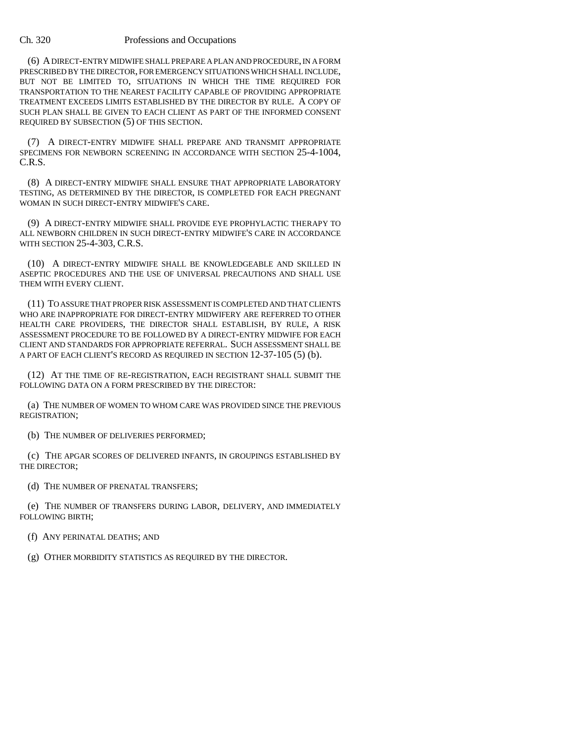#### Ch. 320 Professions and Occupations

(6) A DIRECT-ENTRY MIDWIFE SHALL PREPARE A PLAN AND PROCEDURE, IN A FORM PRESCRIBED BY THE DIRECTOR, FOR EMERGENCY SITUATIONS WHICH SHALL INCLUDE, BUT NOT BE LIMITED TO, SITUATIONS IN WHICH THE TIME REQUIRED FOR TRANSPORTATION TO THE NEAREST FACILITY CAPABLE OF PROVIDING APPROPRIATE TREATMENT EXCEEDS LIMITS ESTABLISHED BY THE DIRECTOR BY RULE. A COPY OF SUCH PLAN SHALL BE GIVEN TO EACH CLIENT AS PART OF THE INFORMED CONSENT REQUIRED BY SUBSECTION (5) OF THIS SECTION.

(7) A DIRECT-ENTRY MIDWIFE SHALL PREPARE AND TRANSMIT APPROPRIATE SPECIMENS FOR NEWBORN SCREENING IN ACCORDANCE WITH SECTION 25-4-1004, C.R.S.

(8) A DIRECT-ENTRY MIDWIFE SHALL ENSURE THAT APPROPRIATE LABORATORY TESTING, AS DETERMINED BY THE DIRECTOR, IS COMPLETED FOR EACH PREGNANT WOMAN IN SUCH DIRECT-ENTRY MIDWIFE'S CARE.

(9) A DIRECT-ENTRY MIDWIFE SHALL PROVIDE EYE PROPHYLACTIC THERAPY TO ALL NEWBORN CHILDREN IN SUCH DIRECT-ENTRY MIDWIFE'S CARE IN ACCORDANCE WITH SECTION 25-4-303, C.R.S.

(10) A DIRECT-ENTRY MIDWIFE SHALL BE KNOWLEDGEABLE AND SKILLED IN ASEPTIC PROCEDURES AND THE USE OF UNIVERSAL PRECAUTIONS AND SHALL USE THEM WITH EVERY CLIENT.

(11) TO ASSURE THAT PROPER RISK ASSESSMENT IS COMPLETED AND THAT CLIENTS WHO ARE INAPPROPRIATE FOR DIRECT-ENTRY MIDWIFERY ARE REFERRED TO OTHER HEALTH CARE PROVIDERS, THE DIRECTOR SHALL ESTABLISH, BY RULE, A RISK ASSESSMENT PROCEDURE TO BE FOLLOWED BY A DIRECT-ENTRY MIDWIFE FOR EACH CLIENT AND STANDARDS FOR APPROPRIATE REFERRAL. SUCH ASSESSMENT SHALL BE A PART OF EACH CLIENT'S RECORD AS REQUIRED IN SECTION 12-37-105 (5) (b).

(12) AT THE TIME OF RE-REGISTRATION, EACH REGISTRANT SHALL SUBMIT THE FOLLOWING DATA ON A FORM PRESCRIBED BY THE DIRECTOR:

(a) THE NUMBER OF WOMEN TO WHOM CARE WAS PROVIDED SINCE THE PREVIOUS REGISTRATION;

(b) THE NUMBER OF DELIVERIES PERFORMED;

(c) THE APGAR SCORES OF DELIVERED INFANTS, IN GROUPINGS ESTABLISHED BY THE DIRECTOR;

(d) THE NUMBER OF PRENATAL TRANSFERS;

(e) THE NUMBER OF TRANSFERS DURING LABOR, DELIVERY, AND IMMEDIATELY FOLLOWING BIRTH;

(f) ANY PERINATAL DEATHS; AND

(g) OTHER MORBIDITY STATISTICS AS REQUIRED BY THE DIRECTOR.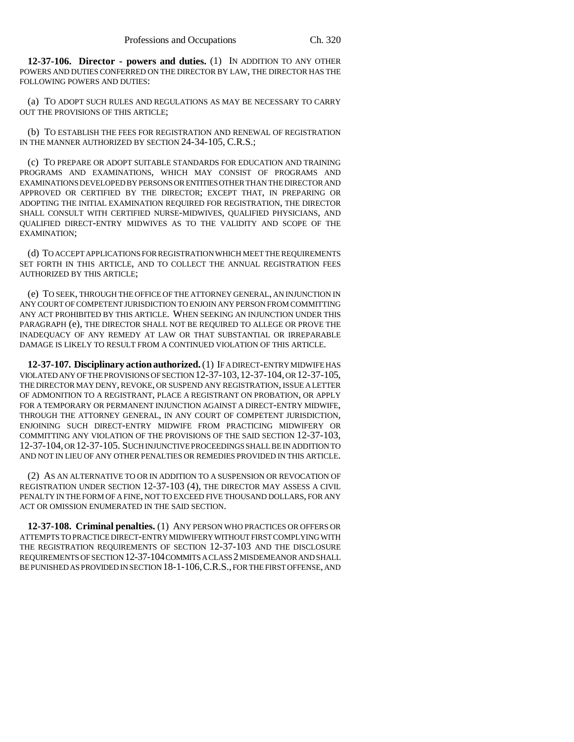**12-37-106. Director - powers and duties.** (1) IN ADDITION TO ANY OTHER POWERS AND DUTIES CONFERRED ON THE DIRECTOR BY LAW, THE DIRECTOR HAS THE FOLLOWING POWERS AND DUTIES:

(a) TO ADOPT SUCH RULES AND REGULATIONS AS MAY BE NECESSARY TO CARRY OUT THE PROVISIONS OF THIS ARTICLE;

(b) TO ESTABLISH THE FEES FOR REGISTRATION AND RENEWAL OF REGISTRATION IN THE MANNER AUTHORIZED BY SECTION 24-34-105, C.R.S.;

(c) TO PREPARE OR ADOPT SUITABLE STANDARDS FOR EDUCATION AND TRAINING PROGRAMS AND EXAMINATIONS, WHICH MAY CONSIST OF PROGRAMS AND EXAMINATIONS DEVELOPED BY PERSONS OR ENTITIES OTHER THAN THE DIRECTOR AND APPROVED OR CERTIFIED BY THE DIRECTOR; EXCEPT THAT, IN PREPARING OR ADOPTING THE INITIAL EXAMINATION REQUIRED FOR REGISTRATION, THE DIRECTOR SHALL CONSULT WITH CERTIFIED NURSE-MIDWIVES, QUALIFIED PHYSICIANS, AND QUALIFIED DIRECT-ENTRY MIDWIVES AS TO THE VALIDITY AND SCOPE OF THE EXAMINATION;

(d) TO ACCEPT APPLICATIONS FOR REGISTRATION WHICH MEET THE REQUIREMENTS SET FORTH IN THIS ARTICLE, AND TO COLLECT THE ANNUAL REGISTRATION FEES AUTHORIZED BY THIS ARTICLE;

(e) TO SEEK, THROUGH THE OFFICE OF THE ATTORNEY GENERAL, AN INJUNCTION IN ANY COURT OF COMPETENT JURISDICTION TO ENJOIN ANY PERSON FROM COMMITTING ANY ACT PROHIBITED BY THIS ARTICLE. WHEN SEEKING AN INJUNCTION UNDER THIS PARAGRAPH (e), THE DIRECTOR SHALL NOT BE REQUIRED TO ALLEGE OR PROVE THE INADEQUACY OF ANY REMEDY AT LAW OR THAT SUBSTANTIAL OR IRREPARABLE DAMAGE IS LIKELY TO RESULT FROM A CONTINUED VIOLATION OF THIS ARTICLE.

**12-37-107. Disciplinary action authorized.** (1) IF A DIRECT-ENTRY MIDWIFE HAS VIOLATED ANY OF THE PROVISIONS OF SECTION 12-37-103,12-37-104, OR 12-37-105, THE DIRECTOR MAY DENY, REVOKE, OR SUSPEND ANY REGISTRATION, ISSUE A LETTER OF ADMONITION TO A REGISTRANT, PLACE A REGISTRANT ON PROBATION, OR APPLY FOR A TEMPORARY OR PERMANENT INJUNCTION AGAINST A DIRECT-ENTRY MIDWIFE, THROUGH THE ATTORNEY GENERAL, IN ANY COURT OF COMPETENT JURISDICTION, ENJOINING SUCH DIRECT-ENTRY MIDWIFE FROM PRACTICING MIDWIFERY OR COMMITTING ANY VIOLATION OF THE PROVISIONS OF THE SAID SECTION 12-37-103, 12-37-104, OR 12-37-105. SUCH INJUNCTIVE PROCEEDINGS SHALL BE IN ADDITION TO AND NOT IN LIEU OF ANY OTHER PENALTIES OR REMEDIES PROVIDED IN THIS ARTICLE.

(2) AS AN ALTERNATIVE TO OR IN ADDITION TO A SUSPENSION OR REVOCATION OF REGISTRATION UNDER SECTION 12-37-103 (4), THE DIRECTOR MAY ASSESS A CIVIL PENALTY IN THE FORM OF A FINE, NOT TO EXCEED FIVE THOUSAND DOLLARS, FOR ANY ACT OR OMISSION ENUMERATED IN THE SAID SECTION.

**12-37-108. Criminal penalties.** (1) ANY PERSON WHO PRACTICES OR OFFERS OR ATTEMPTS TO PRACTICE DIRECT-ENTRY MIDWIFERY WITHOUT FIRST COMPLYING WITH THE REGISTRATION REQUIREMENTS OF SECTION 12-37-103 AND THE DISCLOSURE REQUIREMENTS OF SECTION 12-37-104 COMMITS A CLASS 2 MISDEMEANOR AND SHALL BE PUNISHED AS PROVIDED IN SECTION 18-1-106,C.R.S., FOR THE FIRST OFFENSE, AND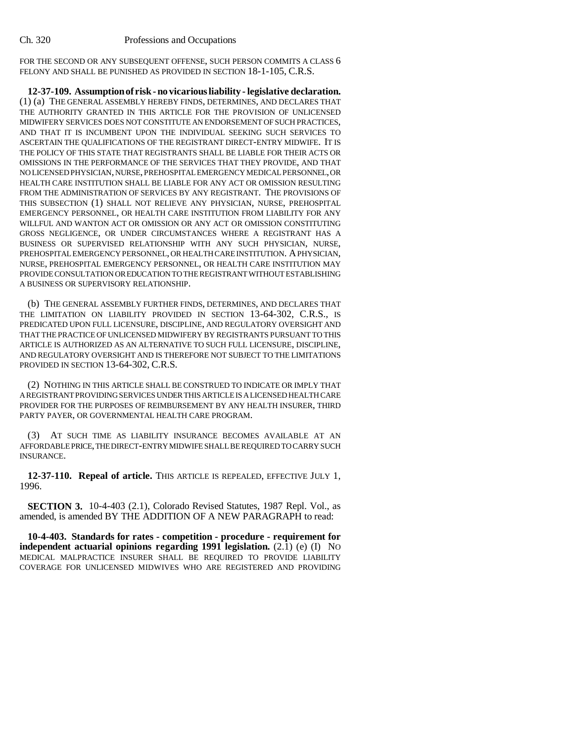FOR THE SECOND OR ANY SUBSEQUENT OFFENSE, SUCH PERSON COMMITS A CLASS 6 FELONY AND SHALL BE PUNISHED AS PROVIDED IN SECTION 18-1-105, C.R.S.

**12-37-109. Assumption of risk - no vicarious liability - legislative declaration.** (1) (a) THE GENERAL ASSEMBLY HEREBY FINDS, DETERMINES, AND DECLARES THAT THE AUTHORITY GRANTED IN THIS ARTICLE FOR THE PROVISION OF UNLICENSED MIDWIFERY SERVICES DOES NOT CONSTITUTE AN ENDORSEMENT OF SUCH PRACTICES, AND THAT IT IS INCUMBENT UPON THE INDIVIDUAL SEEKING SUCH SERVICES TO ASCERTAIN THE QUALIFICATIONS OF THE REGISTRANT DIRECT-ENTRY MIDWIFE. IT IS THE POLICY OF THIS STATE THAT REGISTRANTS SHALL BE LIABLE FOR THEIR ACTS OR OMISSIONS IN THE PERFORMANCE OF THE SERVICES THAT THEY PROVIDE, AND THAT NO LICENSED PHYSICIAN, NURSE, PREHOSPITAL EMERGENCY MEDICAL PERSONNEL, OR HEALTH CARE INSTITUTION SHALL BE LIABLE FOR ANY ACT OR OMISSION RESULTING FROM THE ADMINISTRATION OF SERVICES BY ANY REGISTRANT. THE PROVISIONS OF THIS SUBSECTION (1) SHALL NOT RELIEVE ANY PHYSICIAN, NURSE, PREHOSPITAL EMERGENCY PERSONNEL, OR HEALTH CARE INSTITUTION FROM LIABILITY FOR ANY WILLFUL AND WANTON ACT OR OMISSION OR ANY ACT OR OMISSION CONSTITUTING GROSS NEGLIGENCE, OR UNDER CIRCUMSTANCES WHERE A REGISTRANT HAS A BUSINESS OR SUPERVISED RELATIONSHIP WITH ANY SUCH PHYSICIAN, NURSE, PREHOSPITAL EMERGENCY PERSONNEL, OR HEALTH CARE INSTITUTION. A PHYSICIAN, NURSE, PREHOSPITAL EMERGENCY PERSONNEL, OR HEALTH CARE INSTITUTION MAY PROVIDE CONSULTATION OR EDUCATION TO THE REGISTRANT WITHOUT ESTABLISHING A BUSINESS OR SUPERVISORY RELATIONSHIP.

(b) THE GENERAL ASSEMBLY FURTHER FINDS, DETERMINES, AND DECLARES THAT THE LIMITATION ON LIABILITY PROVIDED IN SECTION 13-64-302, C.R.S., IS PREDICATED UPON FULL LICENSURE, DISCIPLINE, AND REGULATORY OVERSIGHT AND THAT THE PRACTICE OF UNLICENSED MIDWIFERY BY REGISTRANTS PURSUANT TO THIS ARTICLE IS AUTHORIZED AS AN ALTERNATIVE TO SUCH FULL LICENSURE, DISCIPLINE, AND REGULATORY OVERSIGHT AND IS THEREFORE NOT SUBJECT TO THE LIMITATIONS PROVIDED IN SECTION 13-64-302, C.R.S.

(2) NOTHING IN THIS ARTICLE SHALL BE CONSTRUED TO INDICATE OR IMPLY THAT A REGISTRANT PROVIDING SERVICES UNDER THIS ARTICLE IS A LICENSED HEALTH CARE PROVIDER FOR THE PURPOSES OF REIMBURSEMENT BY ANY HEALTH INSURER, THIRD PARTY PAYER, OR GOVERNMENTAL HEALTH CARE PROGRAM.

(3) AT SUCH TIME AS LIABILITY INSURANCE BECOMES AVAILABLE AT AN AFFORDABLE PRICE, THE DIRECT-ENTRY MIDWIFE SHALL BE REQUIRED TO CARRY SUCH INSURANCE.

**12-37-110. Repeal of article.** THIS ARTICLE IS REPEALED, EFFECTIVE JULY 1, 1996.

**SECTION 3.** 10-4-403 (2.1), Colorado Revised Statutes, 1987 Repl. Vol., as amended, is amended BY THE ADDITION OF A NEW PARAGRAPH to read:

**10-4-403. Standards for rates - competition - procedure - requirement for independent actuarial opinions regarding 1991 legislation.** (2.1) (e) (I) No MEDICAL MALPRACTICE INSURER SHALL BE REQUIRED TO PROVIDE LIABILITY COVERAGE FOR UNLICENSED MIDWIVES WHO ARE REGISTERED AND PROVIDING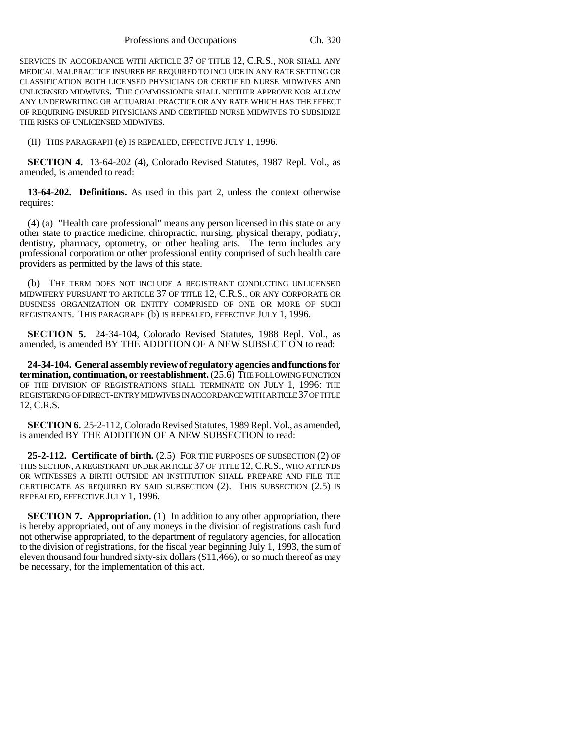Professions and Occupations Ch. 320

SERVICES IN ACCORDANCE WITH ARTICLE 37 OF TITLE 12, C.R.S., NOR SHALL ANY MEDICAL MALPRACTICE INSURER BE REQUIRED TO INCLUDE IN ANY RATE SETTING OR CLASSIFICATION BOTH LICENSED PHYSICIANS OR CERTIFIED NURSE MIDWIVES AND UNLICENSED MIDWIVES. THE COMMISSIONER SHALL NEITHER APPROVE NOR ALLOW ANY UNDERWRITING OR ACTUARIAL PRACTICE OR ANY RATE WHICH HAS THE EFFECT OF REQUIRING INSURED PHYSICIANS AND CERTIFIED NURSE MIDWIVES TO SUBSIDIZE THE RISKS OF UNLICENSED MIDWIVES.

(II) THIS PARAGRAPH (e) IS REPEALED, EFFECTIVE JULY 1, 1996.

**SECTION 4.** 13-64-202 (4), Colorado Revised Statutes, 1987 Repl. Vol., as amended, is amended to read:

**13-64-202. Definitions.** As used in this part 2, unless the context otherwise requires:

(4) (a) "Health care professional" means any person licensed in this state or any other state to practice medicine, chiropractic, nursing, physical therapy, podiatry, dentistry, pharmacy, optometry, or other healing arts. The term includes any professional corporation or other professional entity comprised of such health care providers as permitted by the laws of this state.

(b) THE TERM DOES NOT INCLUDE A REGISTRANT CONDUCTING UNLICENSED MIDWIFERY PURSUANT TO ARTICLE 37 OF TITLE 12, C.R.S., OR ANY CORPORATE OR BUSINESS ORGANIZATION OR ENTITY COMPRISED OF ONE OR MORE OF SUCH REGISTRANTS. THIS PARAGRAPH (b) IS REPEALED, EFFECTIVE JULY 1, 1996.

**SECTION 5.** 24-34-104, Colorado Revised Statutes, 1988 Repl. Vol., as amended, is amended BY THE ADDITION OF A NEW SUBSECTION to read:

**24-34-104. General assembly review of regulatory agencies and functions for termination, continuation, or reestablishment.** (25.6) THE FOLLOWING FUNCTION OF THE DIVISION OF REGISTRATIONS SHALL TERMINATE ON JULY 1, 1996: THE REGISTERING OF DIRECT-ENTRY MIDWIVES IN ACCORDANCE WITH ARTICLE 37 OF TITLE 12, C.R.S.

**SECTION 6.** 25-2-112, Colorado Revised Statutes, 1989 Repl. Vol., as amended, is amended BY THE ADDITION OF A NEW SUBSECTION to read:

**25-2-112. Certificate of birth.** (2.5) FOR THE PURPOSES OF SUBSECTION (2) OF THIS SECTION, A REGISTRANT UNDER ARTICLE 37 OF TITLE 12, C.R.S., WHO ATTENDS OR WITNESSES A BIRTH OUTSIDE AN INSTITUTION SHALL PREPARE AND FILE THE CERTIFICATE AS REQUIRED BY SAID SUBSECTION (2). THIS SUBSECTION (2.5) IS REPEALED, EFFECTIVE JULY 1, 1996.

**SECTION 7. Appropriation.** (1) In addition to any other appropriation, there is hereby appropriated, out of any moneys in the division of registrations cash fund not otherwise appropriated, to the department of regulatory agencies, for allocation to the division of registrations, for the fiscal year beginning July 1, 1993, the sum of eleven thousand four hundred sixty-six dollars (\$11,466), or so much thereof as may be necessary, for the implementation of this act.